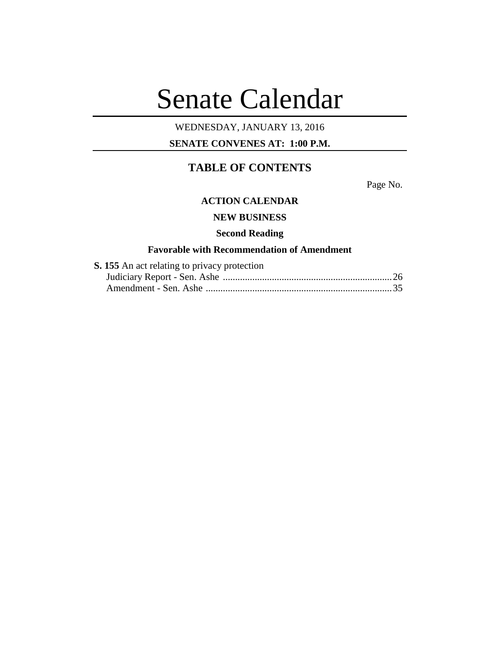# Senate Calendar

# WEDNESDAY, JANUARY 13, 2016

# **SENATE CONVENES AT: 1:00 P.M.**

# **TABLE OF CONTENTS**

Page No.

# **ACTION CALENDAR**

# **NEW BUSINESS**

## **Second Reading**

# **Favorable with Recommendation of Amendment**

| S. 155 An act relating to privacy protection |  |
|----------------------------------------------|--|
|                                              |  |
|                                              |  |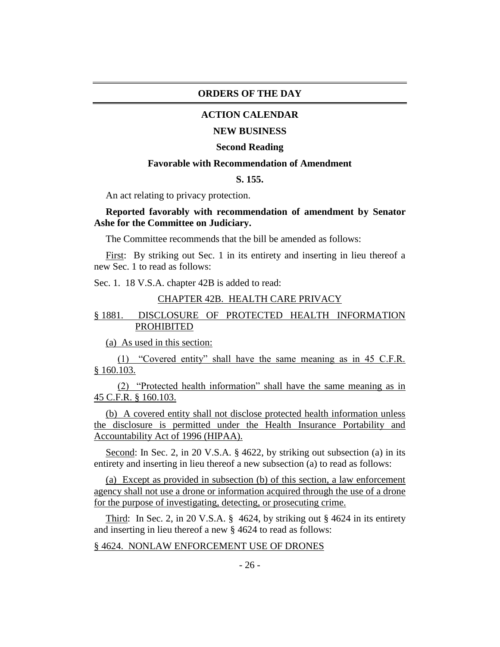## **ORDERS OF THE DAY**

## **ACTION CALENDAR**

#### **NEW BUSINESS**

#### **Second Reading**

## **Favorable with Recommendation of Amendment**

# **S. 155.**

An act relating to privacy protection.

# **Reported favorably with recommendation of amendment by Senator Ashe for the Committee on Judiciary.**

The Committee recommends that the bill be amended as follows:

First: By striking out Sec. 1 in its entirety and inserting in lieu thereof a new Sec. 1 to read as follows:

Sec. 1. 18 V.S.A. chapter 42B is added to read:

# CHAPTER 42B. HEALTH CARE PRIVACY

# § 1881. DISCLOSURE OF PROTECTED HEALTH INFORMATION PROHIBITED

(a) As used in this section:

(1) "Covered entity" shall have the same meaning as in 45 C.F.R. § 160.103.

(2) "Protected health information" shall have the same meaning as in 45 C.F.R. § 160.103.

(b) A covered entity shall not disclose protected health information unless the disclosure is permitted under the Health Insurance Portability and Accountability Act of 1996 (HIPAA).

Second: In Sec. 2, in 20 V.S.A. § 4622, by striking out subsection (a) in its entirety and inserting in lieu thereof a new subsection (a) to read as follows:

(a) Except as provided in subsection (b) of this section, a law enforcement agency shall not use a drone or information acquired through the use of a drone for the purpose of investigating, detecting, or prosecuting crime.

Third: In Sec. 2, in 20 V.S.A.  $\S$  4624, by striking out  $\S$  4624 in its entirety and inserting in lieu thereof a new § 4624 to read as follows:

#### § 4624. NONLAW ENFORCEMENT USE OF DRONES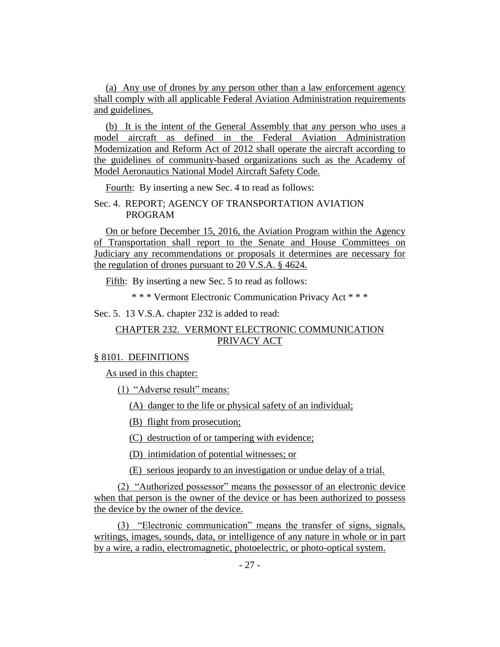(a) Any use of drones by any person other than a law enforcement agency shall comply with all applicable Federal Aviation Administration requirements and guidelines.

(b) It is the intent of the General Assembly that any person who uses a model aircraft as defined in the Federal Aviation Administration Modernization and Reform Act of 2012 shall operate the aircraft according to the guidelines of community-based organizations such as the Academy of Model Aeronautics National Model Aircraft Safety Code.

Fourth: By inserting a new Sec. 4 to read as follows:

Sec. 4. REPORT; AGENCY OF TRANSPORTATION AVIATION PROGRAM

On or before December 15, 2016, the Aviation Program within the Agency of Transportation shall report to the Senate and House Committees on Judiciary any recommendations or proposals it determines are necessary for the regulation of drones pursuant to 20 V.S.A. § 4624.

Fifth: By inserting a new Sec. 5 to read as follows:

\* \* \* Vermont Electronic Communication Privacy Act \* \* \*

Sec. 5. 13 V.S.A. chapter 232 is added to read:

# CHAPTER 232. VERMONT ELECTRONIC COMMUNICATION PRIVACY ACT

#### § 8101. DEFINITIONS

As used in this chapter:

(1) "Adverse result" means:

(A) danger to the life or physical safety of an individual;

(B) flight from prosecution;

(C) destruction of or tampering with evidence;

(D) intimidation of potential witnesses; or

(E) serious jeopardy to an investigation or undue delay of a trial.

(2) "Authorized possessor" means the possessor of an electronic device when that person is the owner of the device or has been authorized to possess the device by the owner of the device.

(3) "Electronic communication" means the transfer of signs, signals, writings, images, sounds, data, or intelligence of any nature in whole or in part by a wire, a radio, electromagnetic, photoelectric, or photo-optical system.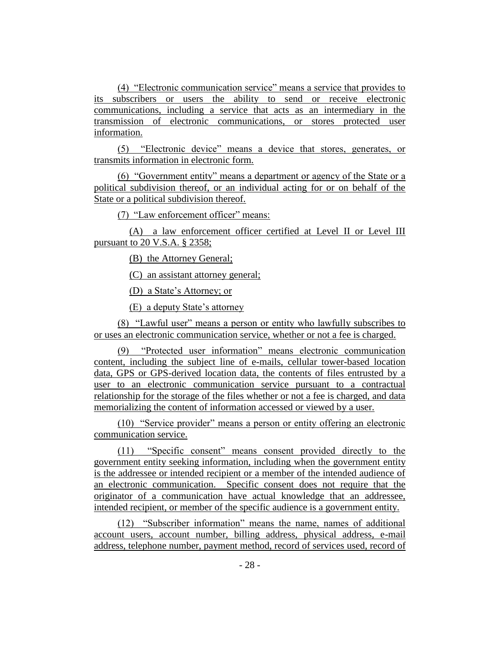(4) "Electronic communication service" means a service that provides to its subscribers or users the ability to send or receive electronic communications, including a service that acts as an intermediary in the transmission of electronic communications, or stores protected user information.

(5) "Electronic device" means a device that stores, generates, or transmits information in electronic form.

(6) "Government entity" means a department or agency of the State or a political subdivision thereof, or an individual acting for or on behalf of the State or a political subdivision thereof.

(7) "Law enforcement officer" means:

(A) a law enforcement officer certified at Level II or Level III pursuant to 20 V.S.A. § 2358;

(B) the Attorney General;

(C) an assistant attorney general;

(D) a State's Attorney; or

(E) a deputy State's attorney

(8) "Lawful user" means a person or entity who lawfully subscribes to or uses an electronic communication service, whether or not a fee is charged.

(9) "Protected user information" means electronic communication content, including the subject line of e-mails, cellular tower-based location data, GPS or GPS-derived location data, the contents of files entrusted by a user to an electronic communication service pursuant to a contractual relationship for the storage of the files whether or not a fee is charged, and data memorializing the content of information accessed or viewed by a user.

(10) "Service provider" means a person or entity offering an electronic communication service.

(11) "Specific consent" means consent provided directly to the government entity seeking information, including when the government entity is the addressee or intended recipient or a member of the intended audience of an electronic communication. Specific consent does not require that the originator of a communication have actual knowledge that an addressee, intended recipient, or member of the specific audience is a government entity.

(12) "Subscriber information" means the name, names of additional account users, account number, billing address, physical address, e-mail address, telephone number, payment method, record of services used, record of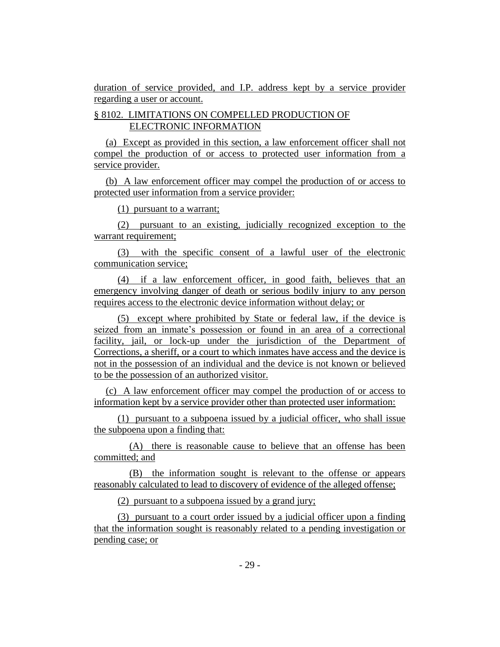duration of service provided, and I.P. address kept by a service provider regarding a user or account.

# § 8102. LIMITATIONS ON COMPELLED PRODUCTION OF ELECTRONIC INFORMATION

(a) Except as provided in this section, a law enforcement officer shall not compel the production of or access to protected user information from a service provider.

(b) A law enforcement officer may compel the production of or access to protected user information from a service provider:

(1) pursuant to a warrant;

(2) pursuant to an existing, judicially recognized exception to the warrant requirement;

(3) with the specific consent of a lawful user of the electronic communication service;

(4) if a law enforcement officer, in good faith, believes that an emergency involving danger of death or serious bodily injury to any person requires access to the electronic device information without delay; or

(5) except where prohibited by State or federal law, if the device is seized from an inmate's possession or found in an area of a correctional facility, jail, or lock-up under the jurisdiction of the Department of Corrections, a sheriff, or a court to which inmates have access and the device is not in the possession of an individual and the device is not known or believed to be the possession of an authorized visitor.

(c) A law enforcement officer may compel the production of or access to information kept by a service provider other than protected user information:

(1) pursuant to a subpoena issued by a judicial officer, who shall issue the subpoena upon a finding that:

(A) there is reasonable cause to believe that an offense has been committed; and

(B) the information sought is relevant to the offense or appears reasonably calculated to lead to discovery of evidence of the alleged offense;

(2) pursuant to a subpoena issued by a grand jury;

(3) pursuant to a court order issued by a judicial officer upon a finding that the information sought is reasonably related to a pending investigation or pending case; or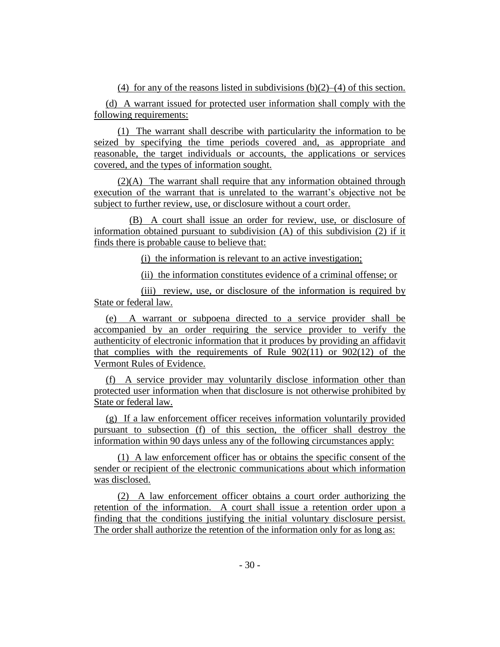(4) for any of the reasons listed in subdivisions  $(b)(2)$ –(4) of this section.

(d) A warrant issued for protected user information shall comply with the following requirements:

(1) The warrant shall describe with particularity the information to be seized by specifying the time periods covered and, as appropriate and reasonable, the target individuals or accounts, the applications or services covered, and the types of information sought.

(2)(A) The warrant shall require that any information obtained through execution of the warrant that is unrelated to the warrant's objective not be subject to further review, use, or disclosure without a court order.

(B) A court shall issue an order for review, use, or disclosure of information obtained pursuant to subdivision (A) of this subdivision (2) if it finds there is probable cause to believe that:

(i) the information is relevant to an active investigation;

(ii) the information constitutes evidence of a criminal offense; or

(iii) review, use, or disclosure of the information is required by State or federal law.

(e) A warrant or subpoena directed to a service provider shall be accompanied by an order requiring the service provider to verify the authenticity of electronic information that it produces by providing an affidavit that complies with the requirements of Rule  $902(11)$  or  $902(12)$  of the Vermont Rules of Evidence.

(f) A service provider may voluntarily disclose information other than protected user information when that disclosure is not otherwise prohibited by State or federal law.

(g) If a law enforcement officer receives information voluntarily provided pursuant to subsection (f) of this section, the officer shall destroy the information within 90 days unless any of the following circumstances apply:

(1) A law enforcement officer has or obtains the specific consent of the sender or recipient of the electronic communications about which information was disclosed.

(2) A law enforcement officer obtains a court order authorizing the retention of the information. A court shall issue a retention order upon a finding that the conditions justifying the initial voluntary disclosure persist. The order shall authorize the retention of the information only for as long as: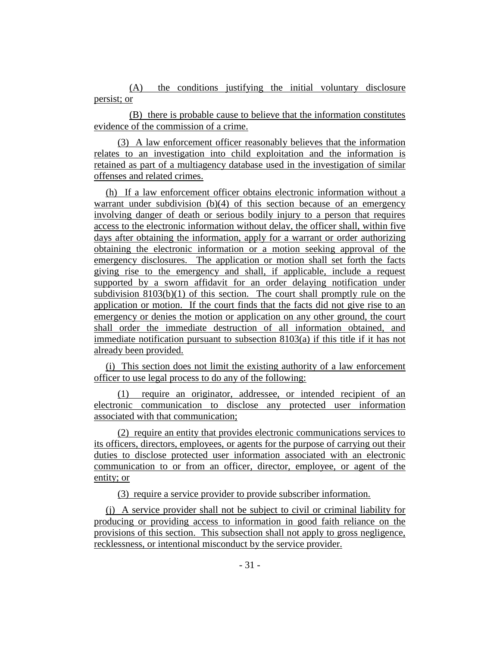(A) the conditions justifying the initial voluntary disclosure persist; or

(B) there is probable cause to believe that the information constitutes evidence of the commission of a crime.

(3) A law enforcement officer reasonably believes that the information relates to an investigation into child exploitation and the information is retained as part of a multiagency database used in the investigation of similar offenses and related crimes.

(h) If a law enforcement officer obtains electronic information without a warrant under subdivision  $(b)(4)$  of this section because of an emergency involving danger of death or serious bodily injury to a person that requires access to the electronic information without delay, the officer shall, within five days after obtaining the information, apply for a warrant or order authorizing obtaining the electronic information or a motion seeking approval of the emergency disclosures. The application or motion shall set forth the facts giving rise to the emergency and shall, if applicable, include a request supported by a sworn affidavit for an order delaying notification under subdivision 8103(b)(1) of this section. The court shall promptly rule on the application or motion. If the court finds that the facts did not give rise to an emergency or denies the motion or application on any other ground, the court shall order the immediate destruction of all information obtained, and immediate notification pursuant to subsection 8103(a) if this title if it has not already been provided.

(i) This section does not limit the existing authority of a law enforcement officer to use legal process to do any of the following:

(1) require an originator, addressee, or intended recipient of an electronic communication to disclose any protected user information associated with that communication;

(2) require an entity that provides electronic communications services to its officers, directors, employees, or agents for the purpose of carrying out their duties to disclose protected user information associated with an electronic communication to or from an officer, director, employee, or agent of the entity; or

(3) require a service provider to provide subscriber information.

(j) A service provider shall not be subject to civil or criminal liability for producing or providing access to information in good faith reliance on the provisions of this section. This subsection shall not apply to gross negligence, recklessness, or intentional misconduct by the service provider.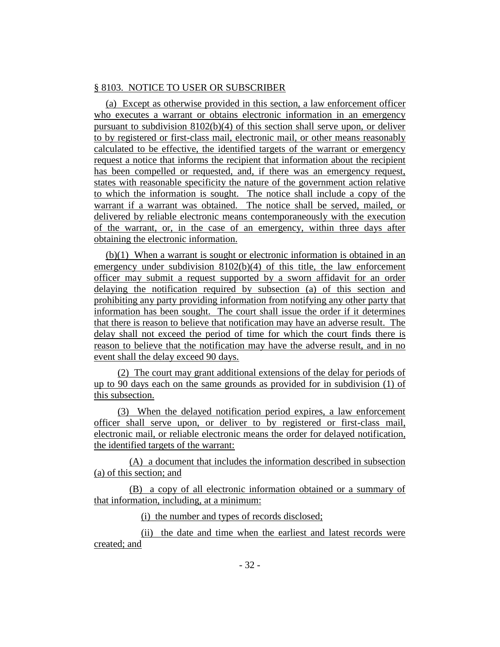# § 8103. NOTICE TO USER OR SUBSCRIBER

(a) Except as otherwise provided in this section, a law enforcement officer who executes a warrant or obtains electronic information in an emergency pursuant to subdivision  $8102(b)(4)$  of this section shall serve upon, or deliver to by registered or first-class mail, electronic mail, or other means reasonably calculated to be effective, the identified targets of the warrant or emergency request a notice that informs the recipient that information about the recipient has been compelled or requested, and, if there was an emergency request, states with reasonable specificity the nature of the government action relative to which the information is sought. The notice shall include a copy of the warrant if a warrant was obtained. The notice shall be served, mailed, or delivered by reliable electronic means contemporaneously with the execution of the warrant, or, in the case of an emergency, within three days after obtaining the electronic information.

(b)(1) When a warrant is sought or electronic information is obtained in an emergency under subdivision 8102(b)(4) of this title, the law enforcement officer may submit a request supported by a sworn affidavit for an order delaying the notification required by subsection (a) of this section and prohibiting any party providing information from notifying any other party that information has been sought. The court shall issue the order if it determines that there is reason to believe that notification may have an adverse result. The delay shall not exceed the period of time for which the court finds there is reason to believe that the notification may have the adverse result, and in no event shall the delay exceed 90 days.

(2) The court may grant additional extensions of the delay for periods of up to 90 days each on the same grounds as provided for in subdivision (1) of this subsection.

(3) When the delayed notification period expires, a law enforcement officer shall serve upon, or deliver to by registered or first-class mail, electronic mail, or reliable electronic means the order for delayed notification, the identified targets of the warrant:

(A) a document that includes the information described in subsection (a) of this section; and

(B) a copy of all electronic information obtained or a summary of that information, including, at a minimum:

(i) the number and types of records disclosed;

(ii) the date and time when the earliest and latest records were created; and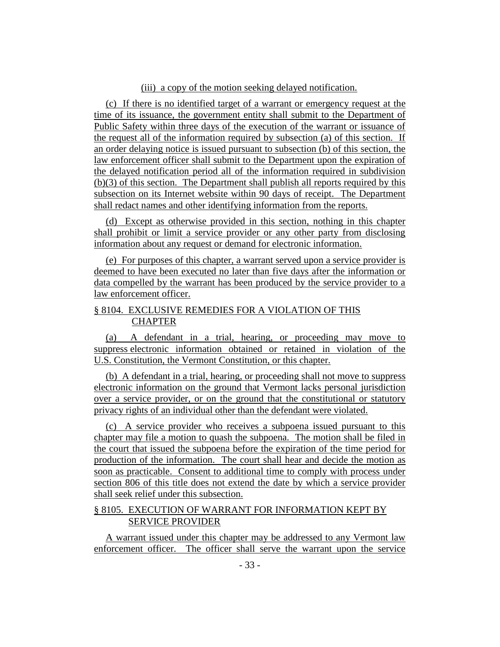## (iii) a copy of the motion seeking delayed notification.

(c) If there is no identified target of a warrant or emergency request at the time of its issuance, the government entity shall submit to the Department of Public Safety within three days of the execution of the warrant or issuance of the request all of the information required by subsection (a) of this section. If an order delaying notice is issued pursuant to subsection (b) of this section, the law enforcement officer shall submit to the Department upon the expiration of the delayed notification period all of the information required in subdivision (b)(3) of this section. The Department shall publish all reports required by this subsection on its Internet website within 90 days of receipt. The Department shall redact names and other identifying information from the reports.

(d) Except as otherwise provided in this section, nothing in this chapter shall prohibit or limit a service provider or any other party from disclosing information about any request or demand for electronic information.

(e) For purposes of this chapter, a warrant served upon a service provider is deemed to have been executed no later than five days after the information or data compelled by the warrant has been produced by the service provider to a law enforcement officer.

# § 8104. EXCLUSIVE REMEDIES FOR A VIOLATION OF THIS CHAPTER

(a) A defendant in a trial, hearing, or proceeding may move to suppress electronic information obtained or retained in violation of the U.S. Constitution, the Vermont Constitution, or this chapter.

(b) A defendant in a trial, hearing, or proceeding shall not move to suppress electronic information on the ground that Vermont lacks personal jurisdiction over a service provider, or on the ground that the constitutional or statutory privacy rights of an individual other than the defendant were violated.

(c) A service provider who receives a subpoena issued pursuant to this chapter may file a motion to quash the subpoena. The motion shall be filed in the court that issued the subpoena before the expiration of the time period for production of the information. The court shall hear and decide the motion as soon as practicable. Consent to additional time to comply with process under section 806 of this title does not extend the date by which a service provider shall seek relief under this subsection.

# § 8105. EXECUTION OF WARRANT FOR INFORMATION KEPT BY SERVICE PROVIDER

A warrant issued under this chapter may be addressed to any Vermont law enforcement officer. The officer shall serve the warrant upon the service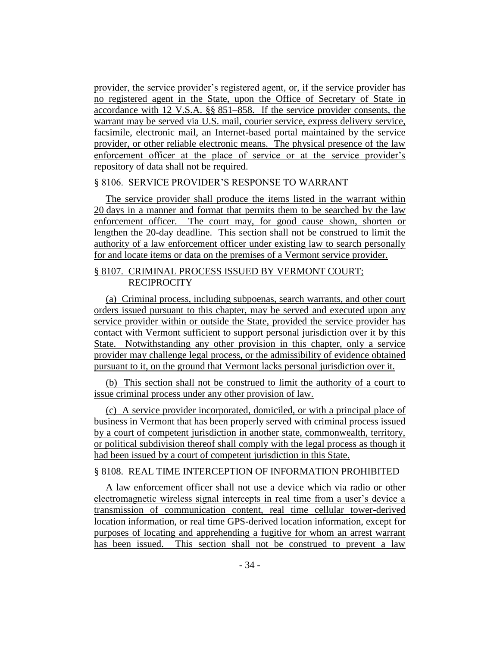provider, the service provider's registered agent, or, if the service provider has no registered agent in the State, upon the Office of Secretary of State in accordance with 12 V.S.A. §§ 851–858. If the service provider consents, the warrant may be served via U.S. mail, courier service, express delivery service, facsimile, electronic mail, an Internet-based portal maintained by the service provider, or other reliable electronic means. The physical presence of the law enforcement officer at the place of service or at the service provider's repository of data shall not be required.

#### § 8106. SERVICE PROVIDER'S RESPONSE TO WARRANT

The service provider shall produce the items listed in the warrant within 20 days in a manner and format that permits them to be searched by the law enforcement officer. The court may, for good cause shown, shorten or lengthen the 20-day deadline. This section shall not be construed to limit the authority of a law enforcement officer under existing law to search personally for and locate items or data on the premises of a Vermont service provider.

# § 8107. CRIMINAL PROCESS ISSUED BY VERMONT COURT; **RECIPROCITY**

(a) Criminal process, including subpoenas, search warrants, and other court orders issued pursuant to this chapter, may be served and executed upon any service provider within or outside the State, provided the service provider has contact with Vermont sufficient to support personal jurisdiction over it by this State. Notwithstanding any other provision in this chapter, only a service provider may challenge legal process, or the admissibility of evidence obtained pursuant to it, on the ground that Vermont lacks personal jurisdiction over it.

(b) This section shall not be construed to limit the authority of a court to issue criminal process under any other provision of law.

(c) A service provider incorporated, domiciled, or with a principal place of business in Vermont that has been properly served with criminal process issued by a court of competent jurisdiction in another state, commonwealth, territory, or political subdivision thereof shall comply with the legal process as though it had been issued by a court of competent jurisdiction in this State.

# § 8108. REAL TIME INTERCEPTION OF INFORMATION PROHIBITED

A law enforcement officer shall not use a device which via radio or other electromagnetic wireless signal intercepts in real time from a user's device a transmission of communication content, real time cellular tower-derived location information, or real time GPS-derived location information, except for purposes of locating and apprehending a fugitive for whom an arrest warrant has been issued. This section shall not be construed to prevent a law